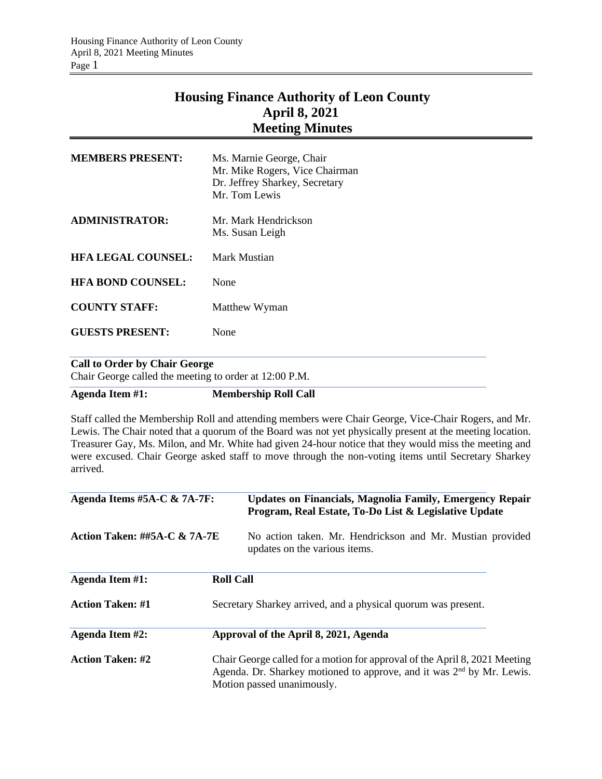## **Housing Finance Authority of Leon County April 8, 2021 Meeting Minutes**

| <b>MEMBERS PRESENT:</b>   | Ms. Marnie George, Chair<br>Mr. Mike Rogers, Vice Chairman<br>Dr. Jeffrey Sharkey, Secretary<br>Mr. Tom Lewis |
|---------------------------|---------------------------------------------------------------------------------------------------------------|
| <b>ADMINISTRATOR:</b>     | Mr. Mark Hendrickson<br>Ms. Susan Leigh                                                                       |
| <b>HFA LEGAL COUNSEL:</b> | Mark Mustian                                                                                                  |
| <b>HFA BOND COUNSEL:</b>  | None                                                                                                          |
| <b>COUNTY STAFF:</b>      | Matthew Wyman                                                                                                 |
| <b>GUESTS PRESENT:</b>    | None                                                                                                          |
| $\sim$ . $\sim$ $\sim$    |                                                                                                               |

## **Call to Order by Chair George**

Chair George called the meeting to order at 12:00 P.M.

## **Agenda Item #1: Membership Roll Call**

Staff called the Membership Roll and attending members were Chair George, Vice-Chair Rogers, and Mr. Lewis. The Chair noted that a quorum of the Board was not yet physically present at the meeting location. Treasurer Gay, Ms. Milon, and Mr. White had given 24-hour notice that they would miss the meeting and were excused. Chair George asked staff to move through the non-voting items until Secretary Sharkey arrived.

| Agenda Items #5A-C & 7A-7F:             |                  | Updates on Financials, Magnolia Family, Emergency Repair<br>Program, Real Estate, To-Do List & Legislative Update                                                                   |
|-----------------------------------------|------------------|-------------------------------------------------------------------------------------------------------------------------------------------------------------------------------------|
| <b>Action Taken: ##5A-C &amp; 7A-7E</b> |                  | No action taken. Mr. Hendrickson and Mr. Mustian provided<br>updates on the various items.                                                                                          |
| Agenda Item #1:                         | <b>Roll Call</b> |                                                                                                                                                                                     |
| <b>Action Taken: #1</b>                 |                  | Secretary Sharkey arrived, and a physical quorum was present.                                                                                                                       |
| <b>Agenda Item #2:</b>                  |                  | Approval of the April 8, 2021, Agenda                                                                                                                                               |
| <b>Action Taken: #2</b>                 |                  | Chair George called for a motion for approval of the April 8, 2021 Meeting<br>Agenda. Dr. Sharkey motioned to approve, and it was $2nd$ by Mr. Lewis.<br>Motion passed unanimously. |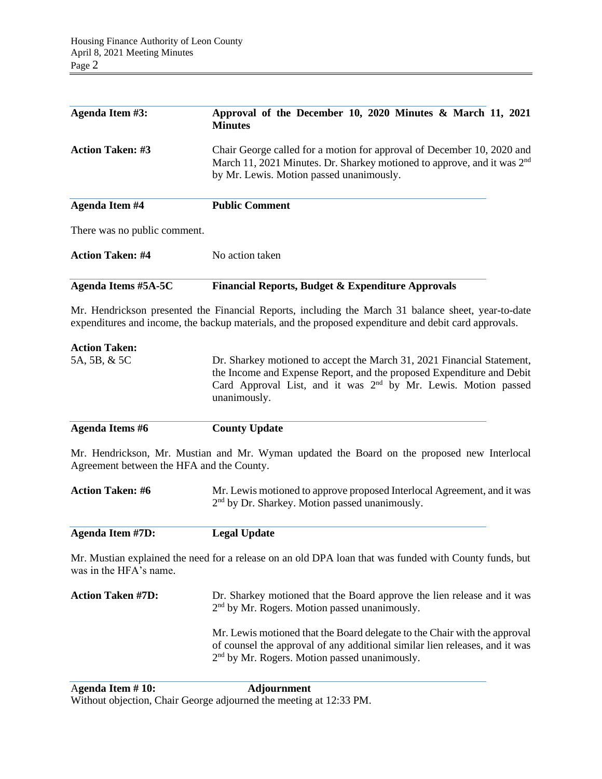| Agenda Item #3:                           | Approval of the December 10, 2020 Minutes & March 11, 2021<br><b>Minutes</b>                                                                                                                                                                  |  |  |
|-------------------------------------------|-----------------------------------------------------------------------------------------------------------------------------------------------------------------------------------------------------------------------------------------------|--|--|
| <b>Action Taken: #3</b>                   | Chair George called for a motion for approval of December 10, 2020 and<br>March 11, 2021 Minutes. Dr. Sharkey motioned to approve, and it was 2 <sup>nd</sup><br>by Mr. Lewis. Motion passed unanimously.                                     |  |  |
| <b>Agenda Item #4</b>                     | <b>Public Comment</b>                                                                                                                                                                                                                         |  |  |
| There was no public comment.              |                                                                                                                                                                                                                                               |  |  |
| <b>Action Taken: #4</b>                   | No action taken                                                                                                                                                                                                                               |  |  |
| <b>Agenda Items #5A-5C</b>                | <b>Financial Reports, Budget &amp; Expenditure Approvals</b>                                                                                                                                                                                  |  |  |
|                                           | Mr. Hendrickson presented the Financial Reports, including the March 31 balance sheet, year-to-date<br>expenditures and income, the backup materials, and the proposed expenditure and debit card approvals.                                  |  |  |
| <b>Action Taken:</b>                      |                                                                                                                                                                                                                                               |  |  |
| 5A, 5B, & 5C                              | Dr. Sharkey motioned to accept the March 31, 2021 Financial Statement,<br>the Income and Expense Report, and the proposed Expenditure and Debit<br>Card Approval List, and it was 2 <sup>nd</sup> by Mr. Lewis. Motion passed<br>unanimously. |  |  |
| <b>Agenda Items #6</b>                    | <b>County Update</b>                                                                                                                                                                                                                          |  |  |
| Agreement between the HFA and the County. | Mr. Hendrickson, Mr. Mustian and Mr. Wyman updated the Board on the proposed new Interlocal                                                                                                                                                   |  |  |
| <b>Action Taken: #6</b>                   | Mr. Lewis motioned to approve proposed Interlocal Agreement, and it was<br>2 <sup>nd</sup> by Dr. Sharkey. Motion passed unanimously.                                                                                                         |  |  |
| <b>Agenda Item #7D:</b>                   | <b>Legal Update</b>                                                                                                                                                                                                                           |  |  |
| was in the HFA's name.                    | Mr. Mustian explained the need for a release on an old DPA loan that was funded with County funds, but                                                                                                                                        |  |  |
| <b>Action Taken #7D:</b>                  | Dr. Sharkey motioned that the Board approve the lien release and it was<br>2 <sup>nd</sup> by Mr. Rogers. Motion passed unanimously.                                                                                                          |  |  |
|                                           | Mr. Lewis motioned that the Board delegate to the Chair with the approval<br>of counsel the approval of any additional similar lien releases, and it was<br>2 <sup>nd</sup> by Mr. Rogers. Motion passed unanimously.                         |  |  |
|                                           |                                                                                                                                                                                                                                               |  |  |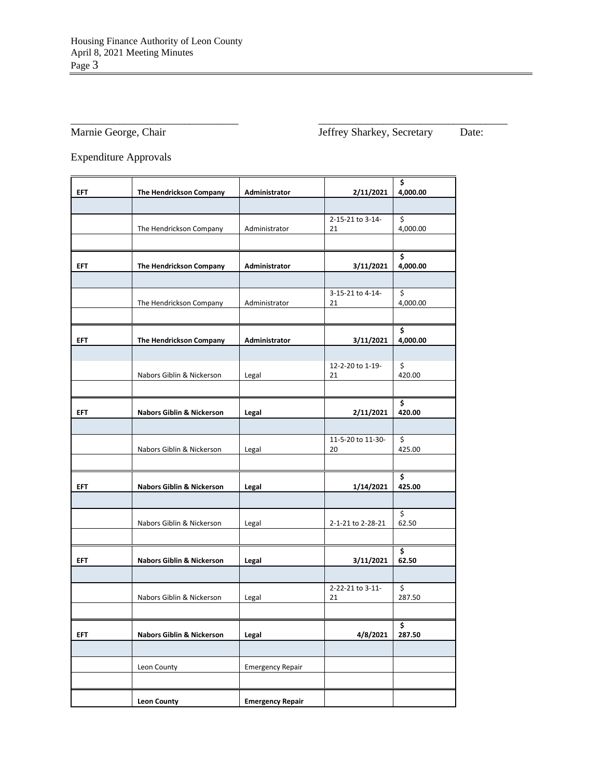\_\_\_\_\_\_\_\_\_\_\_\_\_\_\_\_\_\_\_\_\_\_\_\_\_\_\_\_\_\_\_ \_\_\_\_\_\_\_\_\_\_\_\_\_\_\_\_\_\_\_\_\_\_\_\_\_\_\_\_\_\_\_\_\_\_\_ Marnie George, Chair Jeffrey Sharkey, Secretary Date:

Expenditure Approvals

|            |                                      |                         |                         | \$                                |
|------------|--------------------------------------|-------------------------|-------------------------|-----------------------------------|
| <b>EFT</b> | The Hendrickson Company              | <b>Administrator</b>    | 2/11/2021               | 4,000.00                          |
|            |                                      |                         |                         |                                   |
|            |                                      |                         | 2-15-21 to 3-14-        | \$                                |
|            | The Hendrickson Company              | Administrator           | 21                      | 4,000.00                          |
|            |                                      |                         |                         |                                   |
|            |                                      |                         |                         | \$                                |
| <b>EFT</b> | The Hendrickson Company              | Administrator           | 3/11/2021               | 4,000.00                          |
|            |                                      |                         |                         |                                   |
|            | The Hendrickson Company              | Administrator           | 3-15-21 to 4-14-<br>21  | \$<br>4,000.00                    |
|            |                                      |                         |                         |                                   |
|            |                                      |                         |                         | \$                                |
| <b>EFT</b> | The Hendrickson Company              | Administrator           | 3/11/2021               | 4,000.00                          |
|            |                                      |                         |                         |                                   |
|            |                                      |                         | 12-2-20 to 1-19-        | \$                                |
|            | Nabors Giblin & Nickerson            | Legal                   | 21                      | 420.00                            |
|            |                                      |                         |                         |                                   |
|            |                                      |                         |                         | \$                                |
| <b>EFT</b> | <b>Nabors Giblin &amp; Nickerson</b> | Legal                   | 2/11/2021               | 420.00                            |
|            |                                      |                         |                         |                                   |
|            | Nabors Giblin & Nickerson            | Legal                   | 11-5-20 to 11-30-<br>20 | $\overline{\mathsf{S}}$<br>425.00 |
|            |                                      |                         |                         |                                   |
|            |                                      |                         |                         | \$                                |
| <b>EFT</b> | <b>Nabors Giblin &amp; Nickerson</b> | Legal                   | 1/14/2021               | 425.00                            |
|            |                                      |                         |                         |                                   |
|            |                                      |                         |                         | \$                                |
|            | Nabors Giblin & Nickerson            | Legal                   | 2-1-21 to 2-28-21       | 62.50                             |
|            |                                      |                         |                         |                                   |
|            |                                      |                         |                         | \$                                |
| <b>EFT</b> | Nabors Giblin & Nickerson            | Legal                   | 3/11/2021               | 62.50                             |
|            |                                      |                         |                         |                                   |
|            | Nabors Giblin & Nickerson            | Legal                   | 2-22-21 to 3-11-<br>21  | \$<br>287.50                      |
|            |                                      |                         |                         |                                   |
|            |                                      |                         |                         | \$                                |
| <b>EFT</b> | <b>Nabors Giblin &amp; Nickerson</b> | Legal                   | 4/8/2021                | 287.50                            |
|            |                                      |                         |                         |                                   |
|            | Leon County                          | <b>Emergency Repair</b> |                         |                                   |
|            |                                      |                         |                         |                                   |
|            |                                      |                         |                         |                                   |
|            | <b>Leon County</b>                   | <b>Emergency Repair</b> |                         |                                   |